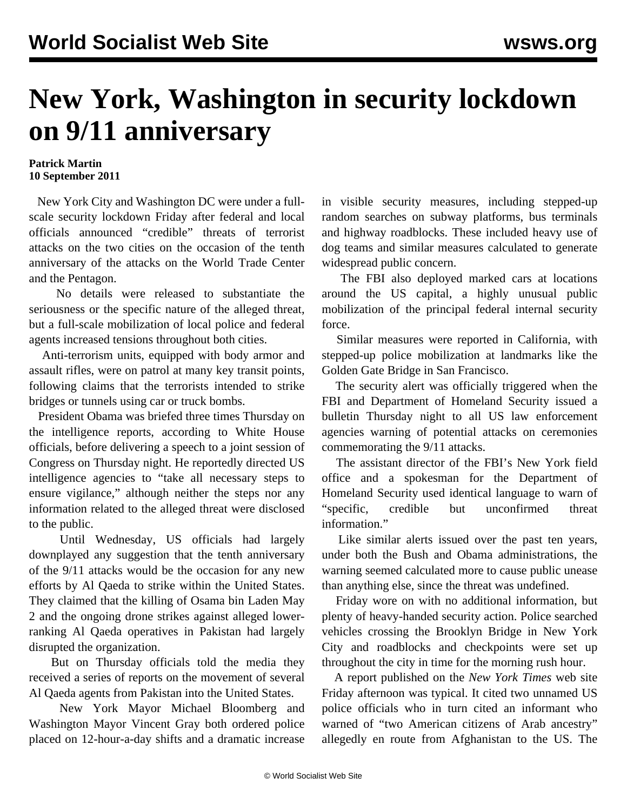## **New York, Washington in security lockdown on 9/11 anniversary**

## **Patrick Martin 10 September 2011**

 New York City and Washington DC were under a fullscale security lockdown Friday after federal and local officials announced "credible" threats of terrorist attacks on the two cities on the occasion of the tenth anniversary of the attacks on the World Trade Center and the Pentagon.

 No details were released to substantiate the seriousness or the specific nature of the alleged threat, but a full-scale mobilization of local police and federal agents increased tensions throughout both cities.

 Anti-terrorism units, equipped with body armor and assault rifles, were on patrol at many key transit points, following claims that the terrorists intended to strike bridges or tunnels using car or truck bombs.

 President Obama was briefed three times Thursday on the intelligence reports, according to White House officials, before delivering a speech to a joint session of Congress on Thursday night. He reportedly directed US intelligence agencies to "take all necessary steps to ensure vigilance," although neither the steps nor any information related to the alleged threat were disclosed to the public.

 Until Wednesday, US officials had largely downplayed any suggestion that the tenth anniversary of the 9/11 attacks would be the occasion for any new efforts by Al Qaeda to strike within the United States. They claimed that the killing of Osama bin Laden May 2 and the ongoing drone strikes against alleged lowerranking Al Qaeda operatives in Pakistan had largely disrupted the organization.

 But on Thursday officials told the media they received a series of reports on the movement of several Al Qaeda agents from Pakistan into the United States.

 New York Mayor Michael Bloomberg and Washington Mayor Vincent Gray both ordered police placed on 12-hour-a-day shifts and a dramatic increase in visible security measures, including stepped-up random searches on subway platforms, bus terminals and highway roadblocks. These included heavy use of dog teams and similar measures calculated to generate widespread public concern.

 The FBI also deployed marked cars at locations around the US capital, a highly unusual public mobilization of the principal federal internal security force.

 Similar measures were reported in California, with stepped-up police mobilization at landmarks like the Golden Gate Bridge in San Francisco.

 The security alert was officially triggered when the FBI and Department of Homeland Security issued a bulletin Thursday night to all US law enforcement agencies warning of potential attacks on ceremonies commemorating the 9/11 attacks.

 The assistant director of the FBI's New York field office and a spokesman for the Department of Homeland Security used identical language to warn of "specific, credible but unconfirmed threat information."

 Like similar alerts issued over the past ten years, under both the Bush and Obama administrations, the warning seemed calculated more to cause public unease than anything else, since the threat was undefined.

 Friday wore on with no additional information, but plenty of heavy-handed security action. Police searched vehicles crossing the Brooklyn Bridge in New York City and roadblocks and checkpoints were set up throughout the city in time for the morning rush hour.

 A report published on the *New York Times* web site Friday afternoon was typical. It cited two unnamed US police officials who in turn cited an informant who warned of "two American citizens of Arab ancestry" allegedly en route from Afghanistan to the US. The